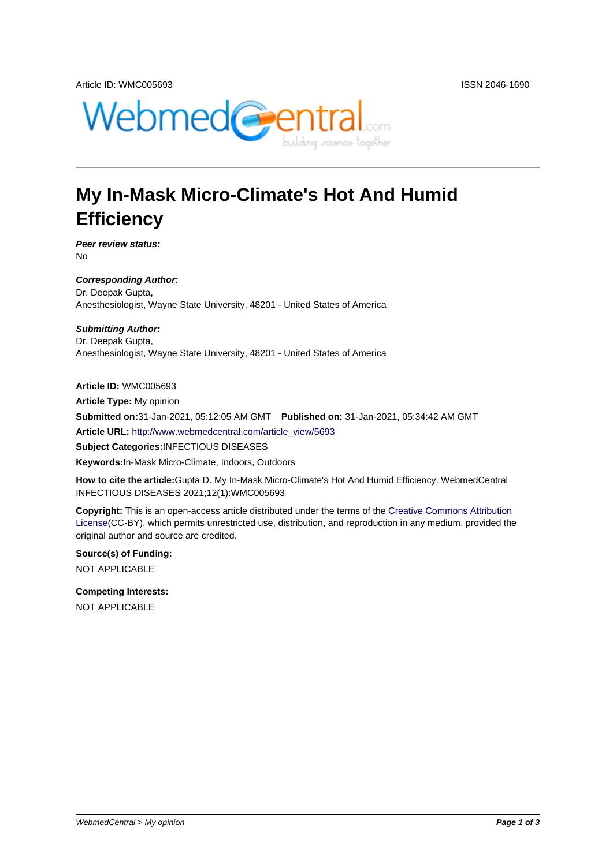

## **My In-Mask Micro-Climate's Hot And Humid Efficiency**

**Peer review status:** No

**Corresponding Author:** Dr. Deepak Gupta, Anesthesiologist, Wayne State University, 48201 - United States of America

**Submitting Author:** Dr. Deepak Gupta, Anesthesiologist, Wayne State University, 48201 - United States of America

**Article ID:** WMC005693

**Article Type:** My opinion

**Submitted on:**31-Jan-2021, 05:12:05 AM GMT **Published on:** 31-Jan-2021, 05:34:42 AM GMT

**Article URL:** http://www.webmedcentral.com/article\_view/5693

**Subject Categories:**INFECTIOUS DISEASES

**Keywords:**In-Mask Micro-Climate, Indoors, Outdoors

**How to cite the article:**[Gupta D. My In-Mask Micro-Climate's H](http://www.webmedcentral.com/article_view/5693)ot And Humid Efficiency. WebmedCentral INFECTIOUS DISEASES 2021;12(1):WMC005693

**Copyright:** This is an open-access article distributed under the terms of the Creative Commons Attribution License(CC-BY), which permits unrestricted use, distribution, and reproduction in any medium, provided the original author and source are credited.

**Source(s) of Funding:** [NOT AP](http://creativecommons.org/licenses/by/3.0/)PLICABLE

**Competing Interests:** NOT APPLICABLE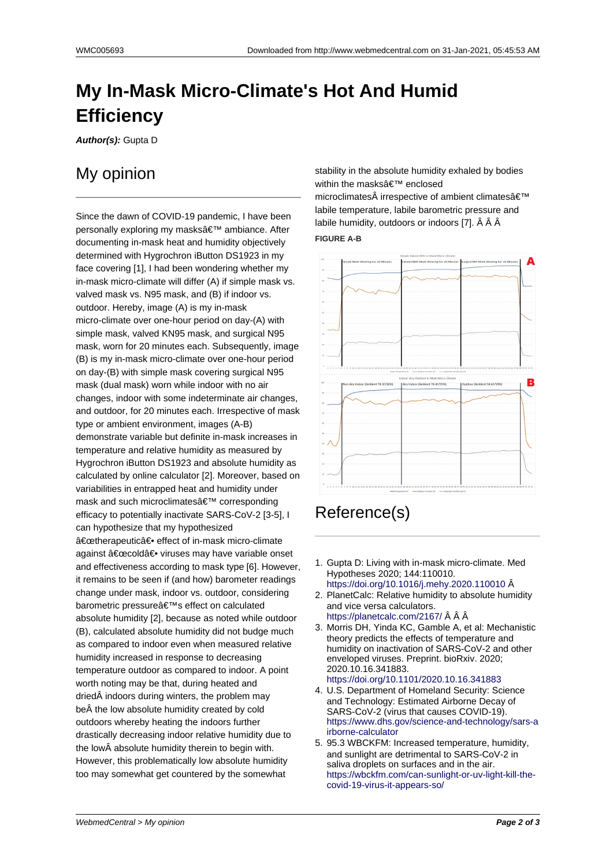## **My In-Mask Micro-Climate's Hot And Humid Efficiency**

**Author(s):** Gupta D

## My opinion

Since the dawn of COVID-19 pandemic, I have been personally exploring my masks' ambiance. After documenting in-mask heat and humidity objectively determined with Hygrochron iButton DS1923 in my face covering [1], I had been wondering whether my in-mask micro-climate will differ (A) if simple mask vs. valved mask vs. N95 mask, and (B) if indoor vs. outdoor. Hereby, image (A) is my in-mask micro-climate over one-hour period on day-(A) with simple mask, valved KN95 mask, and surgical N95 mask, worn for 20 minutes each. Subsequently, image (B) is my in-mask micro-climate over one-hour period on day-(B) with simple mask covering surgical N95 mask (dual mask) worn while indoor with no air changes, indoor with some indeterminate air changes, and outdoor, for 20 minutes each. Irrespective of mask type or ambient environment, images (A-B) demonstrate variable but definite in-mask increases in temperature and relative humidity as measured by Hygrochron iButton DS1923 and absolute humidity as calculated by online calculator [2]. Moreover, based on variabilities in entrapped heat and humidity under mask and such microclimates' corresponding efficacy to potentially inactivate SARS-CoV-2 [3-5], I can hypothesize that my hypothesized "therapeutic― effect of in-mask micro-climate against "cold― viruses may have variable onset and effectiveness according to mask type [6]. However, it remains to be seen if (and how) barometer readings change under mask, indoor vs. outdoor, considering barometric pressure's effect on calculated absolute humidity [2], because as noted while outdoor (B), calculated absolute humidity did not budge much as compared to indoor even when measured relative humidity increased in response to decreasing temperature outdoor as compared to indoor. A point worth noting may be that, during heated and dried indoors during winters, the problem may be $\hat{A}$  the low absolute humidity created by cold outdoors whereby heating the indoors further drastically decreasing indoor relative humidity due to the low absolute humidity therein to begin with. However, this problematically low absolute humidity too may somewhat get countered by the somewhat

stability in the absolute humidity exhaled by bodies within the masks' enclosed microclimates irrespective of ambient climates'

labile temperature, labile barometric pressure and labile humidity, outdoors or indoors [7]. Â Â Â **FIGURE A-B**



## Reference(s)

- 1. Gupta D: Living with in-mask micro-climate. Med Hypotheses 2020; 144:110010. https://doi.org/10.1016/j.mehy.2020.110010 Â
- 2. PlanetCalc: Relative humidity to absolute humidity and vice versa calculators. https://planetcalc.com/2167/ Â Â Â
- 3. Morris DH, Yinda KC, Gamble A, et al: Mechanistic [theory predicts the effects of temperature an](https://doi.org/10.1016/j.mehy.2020.110010)d humidity on inactivation of SARS-CoV-2 and other enveloped viruses. Preprint. bioRxiv. 2020; [2020.10.16.341883.](https://planetcalc.com/2167/) https://doi.org/10.1101/2020.10.16.341883
- 4. U.S. Department of Homeland Security: Science and Technology: Estimated Airborne Decay of SARS-CoV-2 (virus that causes COVID-19). https://www.dhs.gov/science-and-technology/sars-a [irborne-calculator](https://doi.org/10.1101/2020.10.16.341883)
- 5. 95.3 WBCKFM: Increased temperature, humidity, and sunlight are detrimental to SARS-CoV-2 in saliva droplets on surfaces and in the air. [https://wbckfm.com/can-sunlight-or-uv-light-kill-the](https://www.dhs.gov/science-and-technology/sars-airborne-calculator)[covid-19-virus-it-a](https://www.dhs.gov/science-and-technology/sars-airborne-calculator)ppears-so/